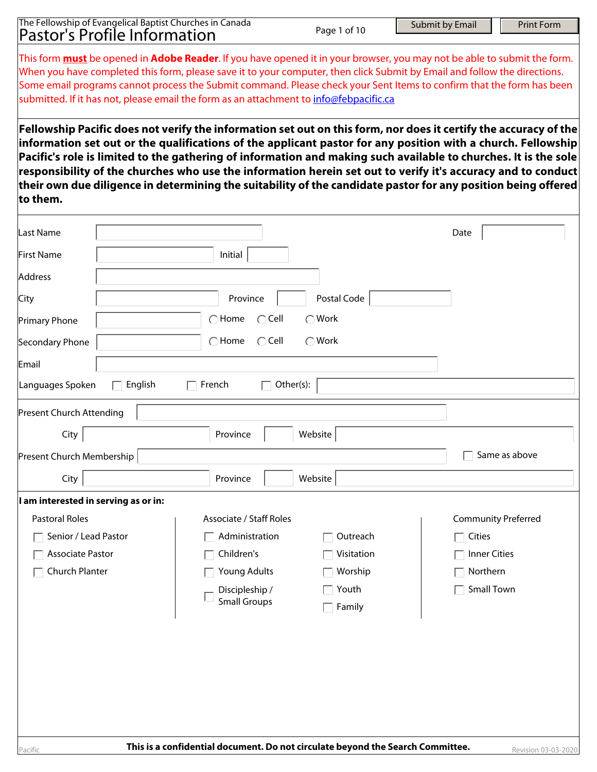|                                      | The Fellowship of Evangelical Baptist Churches in Canada<br><b>Pastor's Profile Information</b> |                                                                                                                                                                                                                                                              | Page 1 of 10 | Submit by Email   | <b>Print Form</b>          |
|--------------------------------------|-------------------------------------------------------------------------------------------------|--------------------------------------------------------------------------------------------------------------------------------------------------------------------------------------------------------------------------------------------------------------|--------------|-------------------|----------------------------|
|                                      |                                                                                                 |                                                                                                                                                                                                                                                              |              |                   |                            |
|                                      |                                                                                                 | This form <b>must</b> be opened in Adobe Reader. If you have opened it in your browser, you may not be able to submit the form.<br>When you have completed this form, please save it to your computer, then click Submit by Email and follow the directions. |              |                   |                            |
|                                      |                                                                                                 | Some email programs cannot process the Submit command. Please check your Sent Items to confirm that the form has been                                                                                                                                        |              |                   |                            |
|                                      |                                                                                                 | submitted. If it has not, please email the form as an attachment to info@febpacific.ca                                                                                                                                                                       |              |                   |                            |
|                                      |                                                                                                 | Fellowship Pacific does not verify the information set out on this form, nor does it certify the accuracy of the                                                                                                                                             |              |                   |                            |
|                                      |                                                                                                 | information set out or the qualifications of the applicant pastor for any position with a church. Fellowship                                                                                                                                                 |              |                   |                            |
|                                      |                                                                                                 | Pacific's role is limited to the gathering of information and making such available to churches. It is the sole                                                                                                                                              |              |                   |                            |
|                                      |                                                                                                 | responsibility of the churches who use the information herein set out to verify it's accuracy and to conduct<br>their own due diligence in determining the suitability of the candidate pastor for any position being offered                                |              |                   |                            |
| to them.                             |                                                                                                 |                                                                                                                                                                                                                                                              |              |                   |                            |
|                                      |                                                                                                 |                                                                                                                                                                                                                                                              |              |                   |                            |
| Last Name                            |                                                                                                 |                                                                                                                                                                                                                                                              |              | Date              |                            |
| First Name                           |                                                                                                 | Initial                                                                                                                                                                                                                                                      |              |                   |                            |
| Address                              |                                                                                                 |                                                                                                                                                                                                                                                              |              |                   |                            |
| City                                 |                                                                                                 | Province                                                                                                                                                                                                                                                     | Postal Code  |                   |                            |
| Primary Phone                        |                                                                                                 | $\bigcap$ Home<br>$\bigcirc$ Cell                                                                                                                                                                                                                            | ◯ Work       |                   |                            |
| Secondary Phone                      |                                                                                                 | $\bigcap$ Home<br>$\bigcirc$ Cell                                                                                                                                                                                                                            | ◯ Work       |                   |                            |
| Email                                |                                                                                                 |                                                                                                                                                                                                                                                              |              |                   |                            |
| Languages Spoken                     | English                                                                                         | Other(s):<br>French                                                                                                                                                                                                                                          |              |                   |                            |
| Present Church Attending             |                                                                                                 |                                                                                                                                                                                                                                                              |              |                   |                            |
|                                      |                                                                                                 |                                                                                                                                                                                                                                                              |              |                   |                            |
| City                                 |                                                                                                 | Province                                                                                                                                                                                                                                                     | Website      |                   |                            |
| Present Church Membership            |                                                                                                 |                                                                                                                                                                                                                                                              |              |                   | Same as above              |
| City                                 |                                                                                                 | Province                                                                                                                                                                                                                                                     | Website      |                   |                            |
| I am interested in serving as or in: |                                                                                                 |                                                                                                                                                                                                                                                              |              |                   |                            |
| <b>Pastoral Roles</b>                |                                                                                                 | <b>Associate / Staff Roles</b>                                                                                                                                                                                                                               |              |                   | <b>Community Preferred</b> |
| Senior / Lead Pastor                 |                                                                                                 | Administration                                                                                                                                                                                                                                               | Outreach     | Cities            |                            |
| Associate Pastor                     |                                                                                                 | Children's                                                                                                                                                                                                                                                   | Visitation   | Inner Cities      |                            |
| Church Planter                       |                                                                                                 | <b>Young Adults</b>                                                                                                                                                                                                                                          | Worship      | Northern          |                            |
|                                      |                                                                                                 | Discipleship /<br><b>Small Groups</b>                                                                                                                                                                                                                        | Youth        | <b>Small Town</b> |                            |
|                                      |                                                                                                 |                                                                                                                                                                                                                                                              | Family       |                   |                            |
|                                      |                                                                                                 |                                                                                                                                                                                                                                                              |              |                   |                            |
|                                      |                                                                                                 |                                                                                                                                                                                                                                                              |              |                   |                            |
|                                      |                                                                                                 |                                                                                                                                                                                                                                                              |              |                   |                            |
|                                      |                                                                                                 |                                                                                                                                                                                                                                                              |              |                   |                            |
|                                      |                                                                                                 |                                                                                                                                                                                                                                                              |              |                   |                            |
|                                      |                                                                                                 |                                                                                                                                                                                                                                                              |              |                   |                            |
| Pacific                              |                                                                                                 | This is a confidential document. Do not circulate beyond the Search Committee.                                                                                                                                                                               |              |                   | Revision 03-03-2020        |

Ŧ.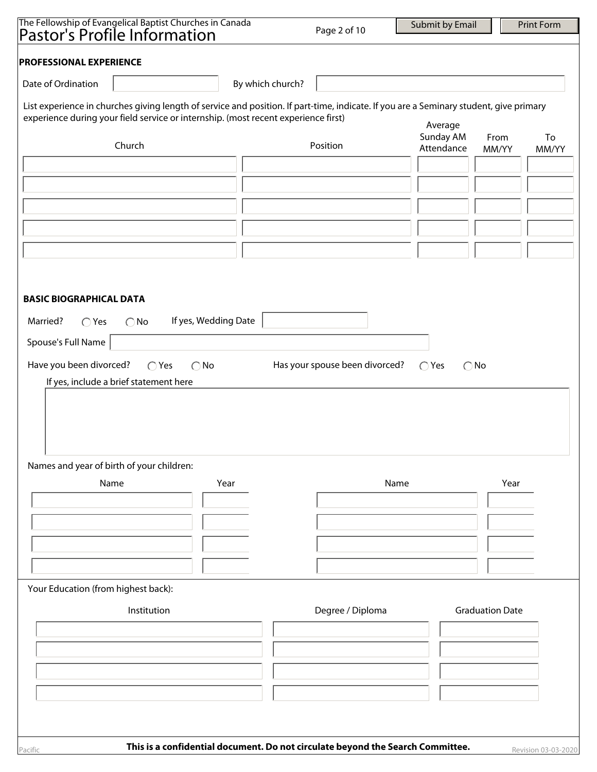| The Fellowship of Evangelical Baptist Churches in Canada<br>Pastor's Profile Information                                                                                                                                     |                                                                                | Page 2 of 10                   | Submit by Email                 | <b>Print Form</b>   |
|------------------------------------------------------------------------------------------------------------------------------------------------------------------------------------------------------------------------------|--------------------------------------------------------------------------------|--------------------------------|---------------------------------|---------------------|
|                                                                                                                                                                                                                              |                                                                                |                                |                                 |                     |
| <b>PROFESSIONAL EXPERIENCE</b>                                                                                                                                                                                               |                                                                                |                                |                                 |                     |
| Date of Ordination                                                                                                                                                                                                           | By which church?                                                               |                                |                                 |                     |
|                                                                                                                                                                                                                              |                                                                                |                                |                                 |                     |
| List experience in churches giving length of service and position. If part-time, indicate. If you are a Seminary student, give primary<br>experience during your field service or internship. (most recent experience first) |                                                                                |                                |                                 |                     |
|                                                                                                                                                                                                                              |                                                                                |                                | Average<br>Sunday AM            | From<br>To          |
| Church                                                                                                                                                                                                                       |                                                                                | Position                       | Attendance                      | MM/YY<br>MM/YY      |
|                                                                                                                                                                                                                              |                                                                                |                                |                                 |                     |
|                                                                                                                                                                                                                              |                                                                                |                                |                                 |                     |
|                                                                                                                                                                                                                              |                                                                                |                                |                                 |                     |
|                                                                                                                                                                                                                              |                                                                                |                                |                                 |                     |
|                                                                                                                                                                                                                              |                                                                                |                                |                                 |                     |
|                                                                                                                                                                                                                              |                                                                                |                                |                                 |                     |
|                                                                                                                                                                                                                              |                                                                                |                                |                                 |                     |
|                                                                                                                                                                                                                              |                                                                                |                                |                                 |                     |
| <b>BASIC BIOGRAPHICAL DATA</b>                                                                                                                                                                                               |                                                                                |                                |                                 |                     |
| Married?<br>$\bigcirc$ Yes<br>$\bigcirc$ No                                                                                                                                                                                  | If yes, Wedding Date                                                           |                                |                                 |                     |
| Spouse's Full Name                                                                                                                                                                                                           |                                                                                |                                |                                 |                     |
|                                                                                                                                                                                                                              |                                                                                |                                |                                 |                     |
| Have you been divorced?<br>$\bigcirc$ Yes                                                                                                                                                                                    | $\bigcirc$ No                                                                  | Has your spouse been divorced? | $\bigcirc$ Yes<br>$\bigcirc$ No |                     |
| If yes, include a brief statement here                                                                                                                                                                                       |                                                                                |                                |                                 |                     |
|                                                                                                                                                                                                                              |                                                                                |                                |                                 |                     |
|                                                                                                                                                                                                                              |                                                                                |                                |                                 |                     |
|                                                                                                                                                                                                                              |                                                                                |                                |                                 |                     |
| Names and year of birth of your children:                                                                                                                                                                                    |                                                                                |                                |                                 |                     |
| Name                                                                                                                                                                                                                         | Year                                                                           |                                | Name                            | Year                |
|                                                                                                                                                                                                                              |                                                                                |                                |                                 |                     |
|                                                                                                                                                                                                                              |                                                                                |                                |                                 |                     |
|                                                                                                                                                                                                                              |                                                                                |                                |                                 |                     |
|                                                                                                                                                                                                                              |                                                                                |                                |                                 |                     |
|                                                                                                                                                                                                                              |                                                                                |                                |                                 |                     |
| Your Education (from highest back):                                                                                                                                                                                          |                                                                                |                                |                                 |                     |
|                                                                                                                                                                                                                              |                                                                                |                                |                                 |                     |
| Institution                                                                                                                                                                                                                  |                                                                                | Degree / Diploma               | <b>Graduation Date</b>          |                     |
|                                                                                                                                                                                                                              |                                                                                |                                |                                 |                     |
|                                                                                                                                                                                                                              |                                                                                |                                |                                 |                     |
|                                                                                                                                                                                                                              |                                                                                |                                |                                 |                     |
|                                                                                                                                                                                                                              |                                                                                |                                |                                 |                     |
|                                                                                                                                                                                                                              |                                                                                |                                |                                 |                     |
|                                                                                                                                                                                                                              |                                                                                |                                |                                 |                     |
|                                                                                                                                                                                                                              |                                                                                |                                |                                 |                     |
| Pacific                                                                                                                                                                                                                      | This is a confidential document. Do not circulate beyond the Search Committee. |                                |                                 | Revision 03-03-2020 |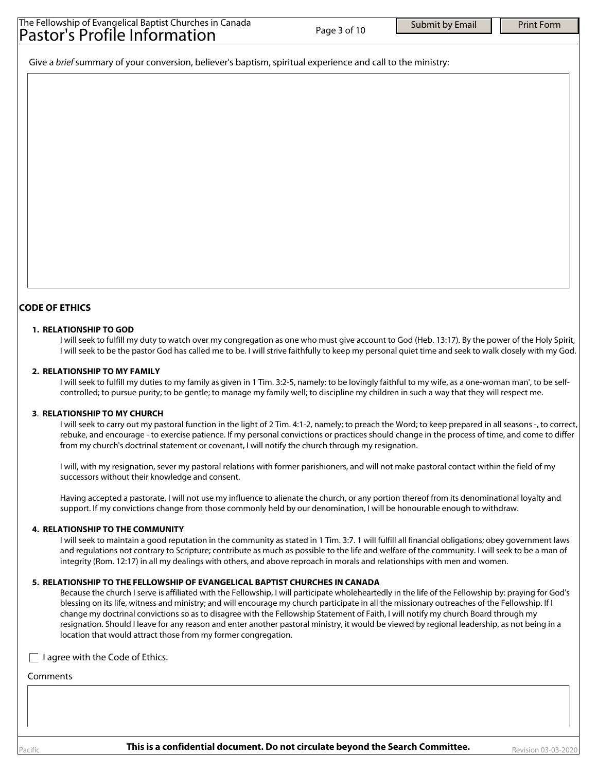| The Fellowship of Evangelical Baptist Churches in Canada<br>Pastor's Profile Information | Page 3 of 10 | Submit by Email | <b>Print Form</b> |
|------------------------------------------------------------------------------------------|--------------|-----------------|-------------------|
|                                                                                          |              |                 |                   |

Give a *brief* summary of your conversion, believer's baptism, spiritual experience and call to the ministry:

### **CODE OF ETHICS**

#### **1. RELATIONSHIP TO GOD**

I will seek to fulfill my duty to watch over my congregation as one who must give account to God (Heb. 13:17). By the power of the Holy Spirit, I will seek to be the pastor God has called me to be. I will strive faithfully to keep my personal quiet time and seek to walk closely with my God.

#### **2. RELATIONSHIP TO MY FAMILY**

I will seek to fulfill my duties to my family as given in 1 Tim. 3:2-5, namely: to be lovingly faithful to my wife, as a one-woman man', to be selfcontrolled; to pursue purity; to be gentle; to manage my family well; to discipline my children in such a way that they will respect me.

#### **3**. **RELATIONSHIP TO MY CHURCH**

I will seek to carry out my pastoral function in the light of 2 Tim. 4:1-2, namely; to preach the Word; to keep prepared in all seasons -, to correct, rebuke, and encourage - to exercise patience. If my personal convictions or practices should change in the process of time, and come to differ from my church's doctrinal statement or covenant, I will notify the church through my resignation.

I will, with my resignation, sever my pastoral relations with former parishioners, and will not make pastoral contact within the field of my successors without their knowledge and consent.

Having accepted a pastorate, I will not use my influence to alienate the church, or any portion thereof from its denominational loyalty and support. If my convictions change from those commonly held by our denomination, I will be honourable enough to withdraw.

#### **4. RELATIONSHIP TO THE COMMUNITY**

I will seek to maintain a good reputation in the community as stated in 1 Tim. 3:7. 1 will fulfill all financial obligations; obey government laws and regulations not contrary to Scripture; contribute as much as possible to the life and welfare of the community. I will seek to be a man of integrity (Rom. 12:17) in all my dealings with others, and above reproach in morals and relationships with men and women.

### **5. RELATIONSHIP TO THE FELLOWSHIP OF EVANGELICAL BAPTIST CHURCHES IN CANADA**

Because the church I serve is affiliated with the Fellowship, I will participate wholeheartedly in the life of the Fellowship by: praying for God's blessing on its life, witness and ministry; and will encourage my church participate in all the missionary outreaches of the Fellowship. If I change my doctrinal convictions so as to disagree with the Fellowship Statement of Faith, I will notify my church Board through my resignation. Should I leave for any reason and enter another pastoral ministry, it would be viewed by regional leadership, as not being in a location that would attract those from my former congregation.

 $\Box$  I agree with the Code of Ethics.

#### Comments

acific **This is a confidential document. Do not circulate beyond the Search Committee.** Revision 03-03-2020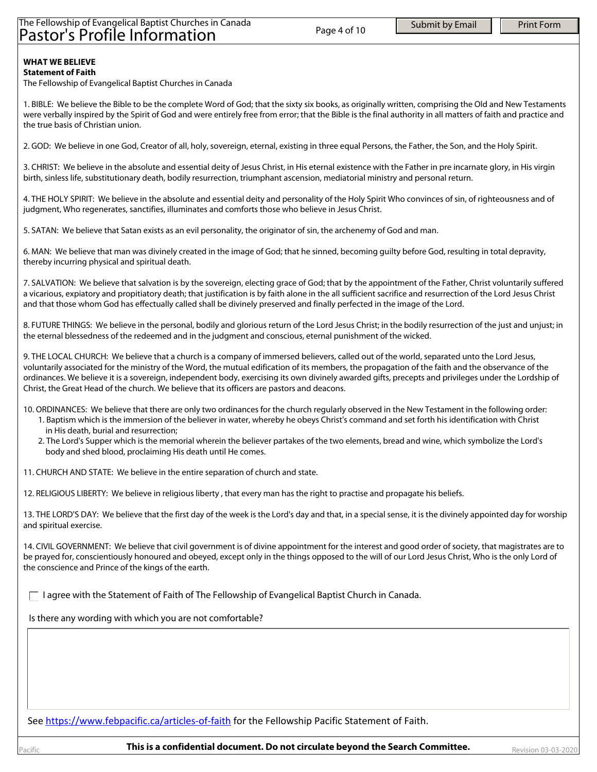# The Fellowship of Evangelical Baptist Churches in Canada Pastor's Profile Information

#### **WHAT WE BELIEVE Statement of Faith**

The Fellowship of Evangelical Baptist Churches in Canada

1. BIBLE: We believe the Bible to be the complete Word of God; that the sixty six books, as originally written, comprising the Old and New Testaments were verbally inspired by the Spirit of God and were entirely free from error; that the Bible is the final authority in all matters of faith and practice and the true basis of Christian union.

2. GOD: We believe in one God, Creator of all, holy, sovereign, eternal, existing in three equal Persons, the Father, the Son, and the Holy Spirit.

3. CHRIST: We believe in the absolute and essential deity of Jesus Christ, in His eternal existence with the Father in pre incarnate glory, in His virgin birth, sinless life, substitutionary death, bodily resurrection, triumphant ascension, mediatorial ministry and personal return.

4. THE HOLY SPIRIT: We believe in the absolute and essential deity and personality of the Holy Spirit Who convinces of sin, of righteousness and of judgment, Who regenerates, sanctifies, illuminates and comforts those who believe in Jesus Christ.

5. SATAN: We believe that Satan exists as an evil personality, the originator of sin, the archenemy of God and man.

6. MAN: We believe that man was divinely created in the image of God; that he sinned, becoming guilty before God, resulting in total depravity, thereby incurring physical and spiritual death.

7. SALVATION: We believe that salvation is by the sovereign, electing grace of God; that by the appointment of the Father, Christ voluntarily suffered a vicarious, expiatory and propitiatory death; that justification is by faith alone in the all sufficient sacrifice and resurrection of the Lord Jesus Christ and that those whom God has effectually called shall be divinely preserved and finally perfected in the image of the Lord.

8. FUTURE THINGS: We believe in the personal, bodily and glorious return of the Lord Jesus Christ; in the bodily resurrection of the just and unjust; in the eternal blessedness of the redeemed and in the judgment and conscious, eternal punishment of the wicked.

9. THE LOCAL CHURCH: We believe that a church is a company of immersed believers, called out of the world, separated unto the Lord Jesus, voluntarily associated for the ministry of the Word, the mutual edification of its members, the propagation of the faith and the observance of the ordinances. We believe it is a sovereign, independent body, exercising its own divinely awarded gifts, precepts and privileges under the Lordship of Christ, the Great Head of the church. We believe that its officers are pastors and deacons.

10. ORDINANCES: We believe that there are only two ordinances for the church regularly observed in the New Testament in the following order:

- 1. Baptism which is the immersion of the believer in water, whereby he obeys Christ's command and set forth his identification with Christ in His death, burial and resurrection;
- 2. The Lord's Supper which is the memorial wherein the believer partakes of the two elements, bread and wine, which symbolize the Lord's body and shed blood, proclaiming His death until He comes.

11. CHURCH AND STATE: We believe in the entire separation of church and state.

12. RELIGIOUS LIBERTY: We believe in religious liberty , that every man has the right to practise and propagate his beliefs.

13. THE LORD'S DAY: We believe that the first day of the week is the Lord's day and that, in a special sense, it is the divinely appointed day for worship and spiritual exercise.

14. CIVIL GOVERNMENT: We believe that civil government is of divine appointment for the interest and good order of society, that magistrates are to be prayed for, conscientiously honoured and obeyed, except only in the things opposed to the will of our Lord Jesus Christ, Who is the only Lord of the conscience and Prince of the kings of the earth.

 $\Box$  I agree with the Statement of Faith of The Fellowship of Evangelical Baptist Church in Canada.

Is there any wording with which you are not comfortable?

See https://www.febpacific.ca/articles-of-faith for the Fellowship Pacific Statement of Faith.

acific **This is a confidential document. Do not circulate beyond the Search Committee.** Revision 03-03-2020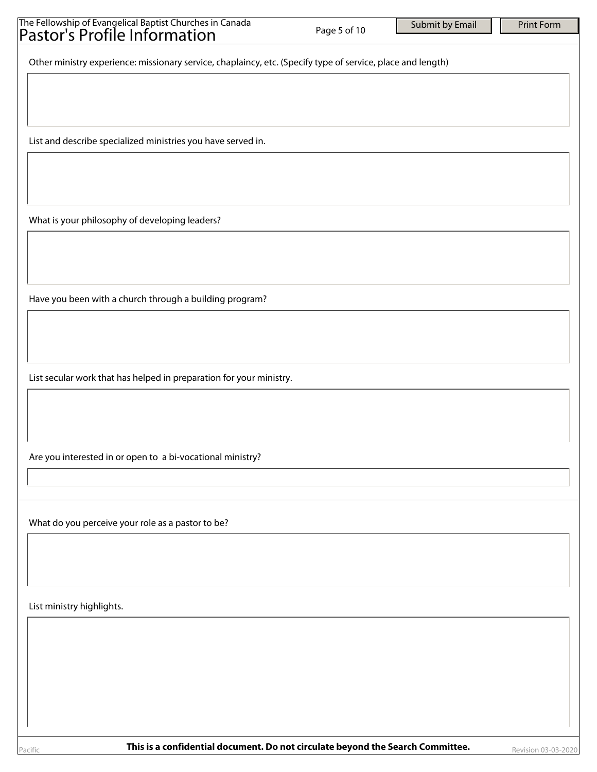| The Fellowship of Evangelical Baptist Churches in Canada<br>Pastor's Profile Information                    | Page 5 of 10 | Submit by Email | <b>Print Form</b> |
|-------------------------------------------------------------------------------------------------------------|--------------|-----------------|-------------------|
| Other ministry experience: missionary service, chaplaincy, etc. (Specify type of service, place and length) |              |                 |                   |
|                                                                                                             |              |                 |                   |
|                                                                                                             |              |                 |                   |
| List and describe specialized ministries you have served in.                                                |              |                 |                   |
|                                                                                                             |              |                 |                   |
| What is your philosophy of developing leaders?                                                              |              |                 |                   |
|                                                                                                             |              |                 |                   |
|                                                                                                             |              |                 |                   |
| Have you been with a church through a building program?                                                     |              |                 |                   |
|                                                                                                             |              |                 |                   |
|                                                                                                             |              |                 |                   |
| List secular work that has helped in preparation for your ministry.                                         |              |                 |                   |
|                                                                                                             |              |                 |                   |
| Are you interested in or open to a bi-vocational ministry?                                                  |              |                 |                   |
|                                                                                                             |              |                 |                   |
|                                                                                                             |              |                 |                   |
| What do you perceive your role as a pastor to be?                                                           |              |                 |                   |
|                                                                                                             |              |                 |                   |
| List ministry highlights.                                                                                   |              |                 |                   |
|                                                                                                             |              |                 |                   |
|                                                                                                             |              |                 |                   |
|                                                                                                             |              |                 |                   |
|                                                                                                             |              |                 |                   |
| This is a confidential desument. De not siveulate heyend the Coarsh Committee                               |              |                 |                   |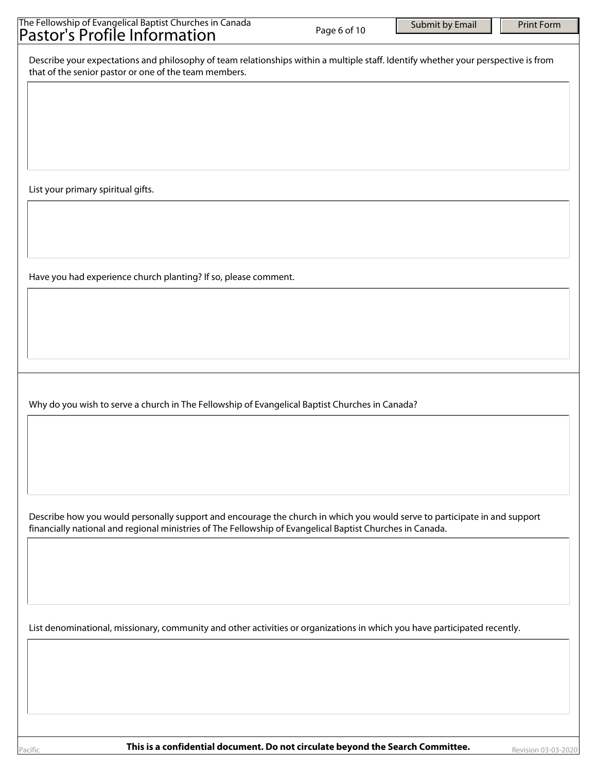| The Fellowship of Evangelical Baptist Churches in Canada<br>Pastor's Profile Information                                                                                                                                               | Page 6 of 10 | Submit by Email | <b>Print Form</b> |
|----------------------------------------------------------------------------------------------------------------------------------------------------------------------------------------------------------------------------------------|--------------|-----------------|-------------------|
| Describe your expectations and philosophy of team relationships within a multiple staff. Identify whether your perspective is from<br>that of the senior pastor or one of the team members.                                            |              |                 |                   |
|                                                                                                                                                                                                                                        |              |                 |                   |
|                                                                                                                                                                                                                                        |              |                 |                   |
|                                                                                                                                                                                                                                        |              |                 |                   |
| List your primary spiritual gifts.                                                                                                                                                                                                     |              |                 |                   |
|                                                                                                                                                                                                                                        |              |                 |                   |
| Have you had experience church planting? If so, please comment.                                                                                                                                                                        |              |                 |                   |
|                                                                                                                                                                                                                                        |              |                 |                   |
|                                                                                                                                                                                                                                        |              |                 |                   |
|                                                                                                                                                                                                                                        |              |                 |                   |
| Why do you wish to serve a church in The Fellowship of Evangelical Baptist Churches in Canada?                                                                                                                                         |              |                 |                   |
|                                                                                                                                                                                                                                        |              |                 |                   |
|                                                                                                                                                                                                                                        |              |                 |                   |
| Describe how you would personally support and encourage the church in which you would serve to participate in and support<br>financially national and regional ministries of The Fellowship of Evangelical Baptist Churches in Canada. |              |                 |                   |
|                                                                                                                                                                                                                                        |              |                 |                   |
|                                                                                                                                                                                                                                        |              |                 |                   |
| List denominational, missionary, community and other activities or organizations in which you have participated recently.                                                                                                              |              |                 |                   |
|                                                                                                                                                                                                                                        |              |                 |                   |
|                                                                                                                                                                                                                                        |              |                 |                   |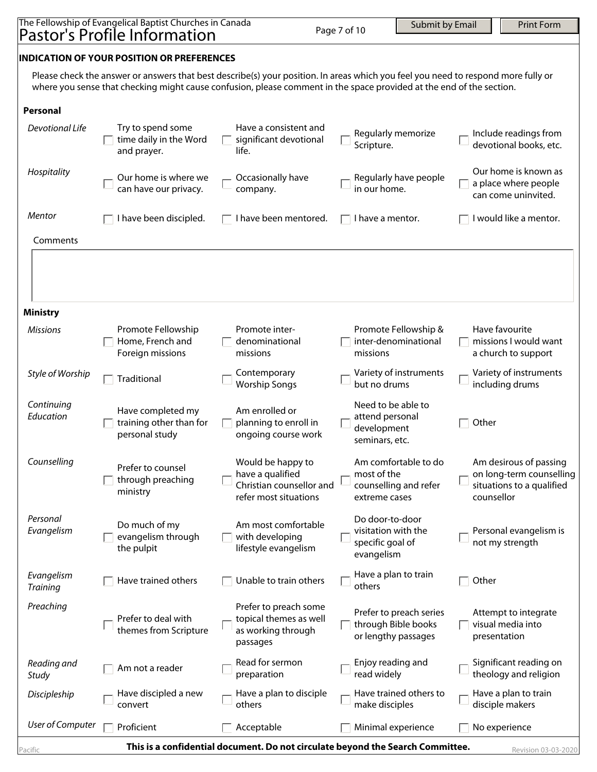|                                                                                                                                                                                                                                                                                                                | The Fellowship of Evangelical Baptist Churches in Canada<br><b>Pastor's Profile Information</b> |                                                                                            | Page 7 of 10                                                             | Submit by Email                                                       | <b>Print Form</b>                                                               |  |  |
|----------------------------------------------------------------------------------------------------------------------------------------------------------------------------------------------------------------------------------------------------------------------------------------------------------------|-------------------------------------------------------------------------------------------------|--------------------------------------------------------------------------------------------|--------------------------------------------------------------------------|-----------------------------------------------------------------------|---------------------------------------------------------------------------------|--|--|
|                                                                                                                                                                                                                                                                                                                |                                                                                                 |                                                                                            |                                                                          |                                                                       |                                                                                 |  |  |
| <b>INDICATION OF YOUR POSITION OR PREFERENCES</b><br>Please check the answer or answers that best describe(s) your position. In areas which you feel you need to respond more fully or<br>where you sense that checking might cause confusion, please comment in the space provided at the end of the section. |                                                                                                 |                                                                                            |                                                                          |                                                                       |                                                                                 |  |  |
| <b>Personal</b>                                                                                                                                                                                                                                                                                                |                                                                                                 |                                                                                            |                                                                          |                                                                       |                                                                                 |  |  |
| Devotional Life                                                                                                                                                                                                                                                                                                | Try to spend some<br>time daily in the Word<br>and prayer.                                      | Have a consistent and<br>significant devotional<br>life.                                   | Scripture.                                                               | Regularly memorize                                                    | Include readings from<br>devotional books, etc.                                 |  |  |
| Hospitality                                                                                                                                                                                                                                                                                                    | Our home is where we<br>can have our privacy.                                                   | Occasionally have<br>company.                                                              | in our home.                                                             | Regularly have people                                                 | Our home is known as<br>a place where people<br>can come uninvited.             |  |  |
| Mentor                                                                                                                                                                                                                                                                                                         | I have been discipled.                                                                          | I have been mentored.                                                                      | I have a mentor.                                                         |                                                                       | I would like a mentor.                                                          |  |  |
| Comments                                                                                                                                                                                                                                                                                                       |                                                                                                 |                                                                                            |                                                                          |                                                                       |                                                                                 |  |  |
|                                                                                                                                                                                                                                                                                                                |                                                                                                 |                                                                                            |                                                                          |                                                                       |                                                                                 |  |  |
| <b>Ministry</b>                                                                                                                                                                                                                                                                                                |                                                                                                 |                                                                                            |                                                                          |                                                                       |                                                                                 |  |  |
| <b>Missions</b>                                                                                                                                                                                                                                                                                                | Promote Fellowship<br>Home, French and<br>Foreign missions                                      | Promote inter-<br>denominational<br>missions                                               | missions                                                                 | Promote Fellowship &<br>inter-denominational                          | Have favourite<br>missions I would want<br>a church to support                  |  |  |
| Style of Worship                                                                                                                                                                                                                                                                                               | Traditional                                                                                     | Contemporary<br><b>Worship Songs</b>                                                       | but no drums                                                             | Variety of instruments                                                | Variety of instruments<br>including drums                                       |  |  |
| Continuing<br>Education                                                                                                                                                                                                                                                                                        | Have completed my<br>training other than for<br>personal study                                  | Am enrolled or<br>planning to enroll in<br>ongoing course work                             | Need to be able to<br>attend personal<br>development<br>seminars, etc.   | Other                                                                 |                                                                                 |  |  |
| Counselling                                                                                                                                                                                                                                                                                                    | Prefer to counsel<br>through preaching<br>ministry                                              | Would be happy to<br>have a qualified<br>Christian counsellor and<br>refer most situations | most of the<br>extreme cases                                             | Am comfortable to do<br>counselling and refer<br>counsellor           | Am desirous of passing<br>on long-term counselling<br>situations to a qualified |  |  |
| Personal<br>Evangelism                                                                                                                                                                                                                                                                                         | Do much of my<br>evangelism through<br>the pulpit                                               | Am most comfortable<br>with developing<br>lifestyle evangelism                             | Do door-to-door<br>visitation with the<br>specific goal of<br>evangelism |                                                                       | Personal evangelism is<br>not my strength                                       |  |  |
| Evangelism<br><b>Training</b>                                                                                                                                                                                                                                                                                  | Have trained others                                                                             | Unable to train others                                                                     | others                                                                   | Have a plan to train<br>Other                                         |                                                                                 |  |  |
| Preaching                                                                                                                                                                                                                                                                                                      | Prefer to deal with<br>themes from Scripture                                                    | Prefer to preach some<br>topical themes as well<br>as working through<br>passages          |                                                                          | Prefer to preach series<br>through Bible books<br>or lengthy passages | Attempt to integrate<br>visual media into<br>presentation                       |  |  |
| Reading and<br>Study                                                                                                                                                                                                                                                                                           | Am not a reader                                                                                 | Read for sermon<br>preparation                                                             | Enjoy reading and<br>read widely                                         |                                                                       | Significant reading on<br>theology and religion                                 |  |  |
| Discipleship                                                                                                                                                                                                                                                                                                   | Have discipled a new<br>convert                                                                 | Have a plan to disciple<br>others                                                          | make disciples                                                           | Have trained others to                                                | Have a plan to train<br>disciple makers                                         |  |  |
| <b>User of Computer</b>                                                                                                                                                                                                                                                                                        | Proficient                                                                                      | Acceptable                                                                                 |                                                                          | Minimal experience                                                    | No experience                                                                   |  |  |

**Pacific This is a confidential document. Do not circulate beyond the Search Committee.** Revision 03-03-2020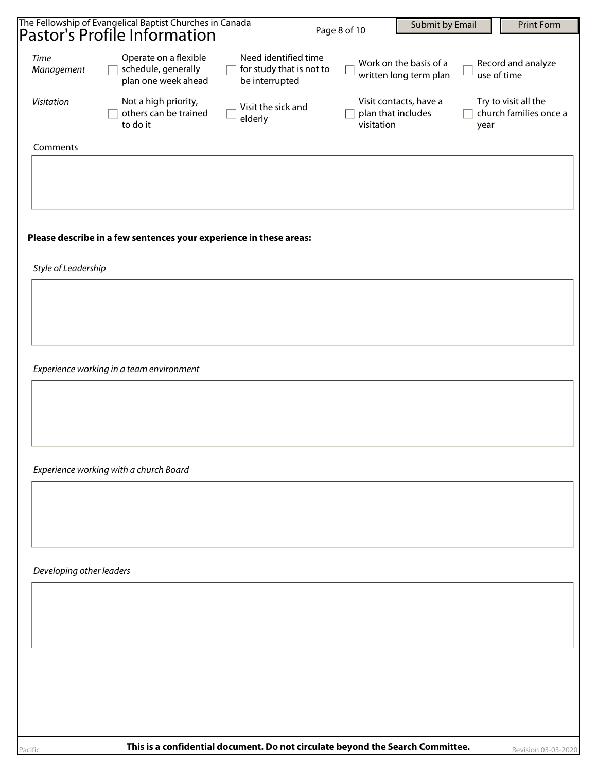|                          | The Fellowship of Evangelical Baptist Churches in Canada<br>Pastor's Profile Information |                                                                    | Page 8 of 10 |                                  | Submit by Email                                  |      | <b>Print Form</b>                              |
|--------------------------|------------------------------------------------------------------------------------------|--------------------------------------------------------------------|--------------|----------------------------------|--------------------------------------------------|------|------------------------------------------------|
|                          |                                                                                          |                                                                    |              |                                  |                                                  |      |                                                |
| Time<br>Management       | Operate on a flexible<br>schedule, generally<br>$\mathbf{L}$<br>plan one week ahead      | Need identified time<br>for study that is not to<br>be interrupted |              |                                  | Work on the basis of a<br>written long term plan |      | Record and analyze<br>use of time              |
| Visitation               | Not a high priority,<br>others can be trained<br>to do it                                | Visit the sick and<br>elderly                                      |              | plan that includes<br>visitation | Visit contacts, have a                           | year | Try to visit all the<br>church families once a |
| Comments                 |                                                                                          |                                                                    |              |                                  |                                                  |      |                                                |
|                          |                                                                                          |                                                                    |              |                                  |                                                  |      |                                                |
|                          |                                                                                          |                                                                    |              |                                  |                                                  |      |                                                |
|                          |                                                                                          |                                                                    |              |                                  |                                                  |      |                                                |
|                          | Please describe in a few sentences your experience in these areas:                       |                                                                    |              |                                  |                                                  |      |                                                |
| Style of Leadership      |                                                                                          |                                                                    |              |                                  |                                                  |      |                                                |
|                          |                                                                                          |                                                                    |              |                                  |                                                  |      |                                                |
|                          |                                                                                          |                                                                    |              |                                  |                                                  |      |                                                |
|                          |                                                                                          |                                                                    |              |                                  |                                                  |      |                                                |
|                          | Experience working in a team environment                                                 |                                                                    |              |                                  |                                                  |      |                                                |
|                          |                                                                                          |                                                                    |              |                                  |                                                  |      |                                                |
|                          |                                                                                          |                                                                    |              |                                  |                                                  |      |                                                |
|                          |                                                                                          |                                                                    |              |                                  |                                                  |      |                                                |
|                          | Experience working with a church Board                                                   |                                                                    |              |                                  |                                                  |      |                                                |
|                          |                                                                                          |                                                                    |              |                                  |                                                  |      |                                                |
|                          |                                                                                          |                                                                    |              |                                  |                                                  |      |                                                |
|                          |                                                                                          |                                                                    |              |                                  |                                                  |      |                                                |
| Developing other leaders |                                                                                          |                                                                    |              |                                  |                                                  |      |                                                |
|                          |                                                                                          |                                                                    |              |                                  |                                                  |      |                                                |
|                          |                                                                                          |                                                                    |              |                                  |                                                  |      |                                                |
|                          |                                                                                          |                                                                    |              |                                  |                                                  |      |                                                |
|                          |                                                                                          |                                                                    |              |                                  |                                                  |      |                                                |
|                          |                                                                                          |                                                                    |              |                                  |                                                  |      |                                                |
|                          |                                                                                          |                                                                    |              |                                  |                                                  |      |                                                |
|                          |                                                                                          |                                                                    |              |                                  |                                                  |      |                                                |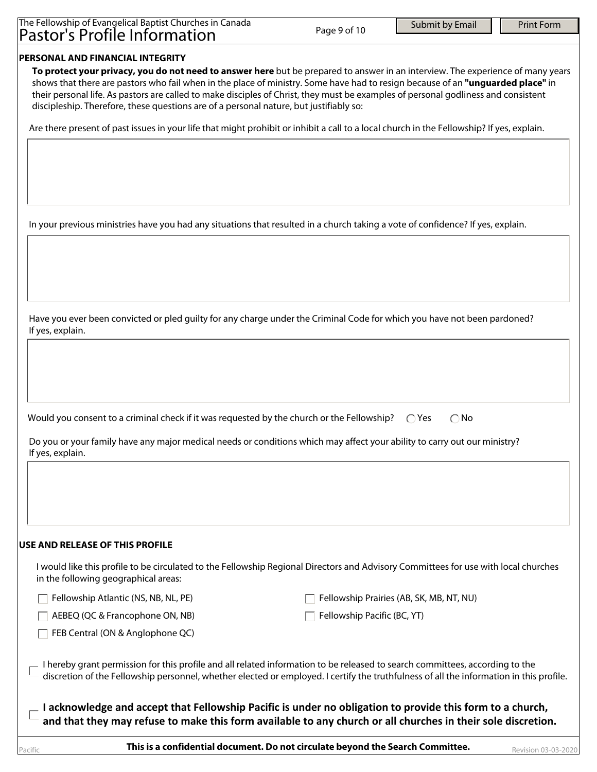| The Fellowship of Evangelical Baptist Churches in Canada |              |
|----------------------------------------------------------|--------------|
| Pastor's Profile Information                             | Page 9 of 10 |

# **PERSONAL AND FINANCIAL INTEGRITY**

**To protect your privacy, you do not need to answer here** but be prepared to answer in an interview. The experience of many years shows that there are pastors who fail when in the place of ministry. Some have had to resign because of an **"unguarded place"** in their personal life. As pastors are called to make disciples of Christ, they must be examples of personal godliness and consistent discipleship. Therefore, these questions are of a personal nature, but justifiably so:

Are there present of past issues in your life that might prohibit or inhibit a call to a local church in the Fellowship? If yes, explain.

In your previous ministries have you had any situations that resulted in a church taking a vote of confidence? If yes, explain.

Have you ever been convicted or pled guilty for any charge under the Criminal Code for which you have not been pardoned? If yes, explain.

Would you consent to a criminal check if it was requested by the church or the Fellowship?  $\bigcirc$  Yes  $\bigcirc$  No

Do you or your family have any major medical needs or conditions which may affect your ability to carry out our ministry? If yes, explain.

# **USE AND RELEASE OF THIS PROFILE**

I would like this profile to be circulated to the Fellowship Regional Directors and Advisory Committees for use with local churches in the following geographical areas:

 $\Box$  Fellowship Atlantic (NS, NB, NL, PE)

 $\Box$  Fellowship Prairies (AB, SK, MB, NT, NU)

 $\Box$  AEBEQ (QC & Francophone ON, NB)

 $\Box$  FEB Central (ON & Anglophone QC)

 $\Box$  Fellowship Pacific (BC, YT)

I hereby grant permission for this profile and all related information to be released to search committees, according to the discretion of the Fellowship personnel, whether elected or employed. I certify the truthfulness of all the information in this profile.

**I acknowledge and accept that Fellowship Pacific is under no obligation to provide this form to a church, and that they may refuse to make this form available to any church or all churches in their sole discretion.**